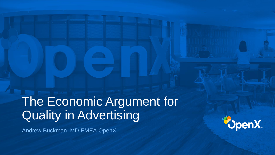The Economic Argument for Quality in Advertising Andrew Buckman, MD EMEA OpenX



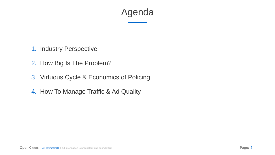

- 1. Industry Perspective
- 2. How Big Is The Problem?
- 3. Virtuous Cycle & Economics of Policing
- 4. How To Manage Traffic & Ad Quality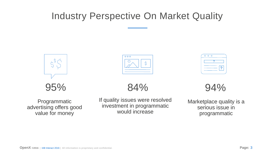## Industry Perspective On Market Quality





Marketplace quality is a serious issue in programmatic



If quality issues were resolved investment in programmatic would increase

## 84%

Programmatic advertising offers good value for money



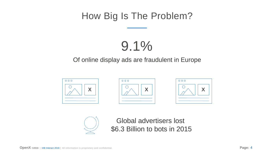## How Big Is The Problem?

### Of online display ads are fraudulent in Europe

## 9.1%





Global advertisers lost \$6.3 Billion to bots in 2015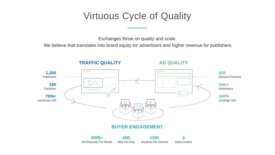## Virtuous Cycle of Quality

Exchanges thrive on quality and scale.

**34K+ Advertisers** 

We believe that translates into brand equity for advertisers and higher revenue for publishers.





**420** Demand Partners

**100%** of AdAge 100

### **TRAFFIC QUALITY AD QUALITY**

**5** Data Centers

**200B+** Ad Requests Per Month

**45B** Bids Per Day

**100K** Auctions Per Second

### **BUYER ENGAGEMENT**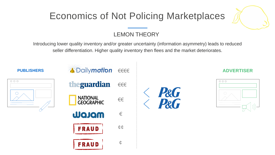## Economics of Not Policing Marketplaces







### LEMON THEORY

Introducing lower quality inventory and/or greater uncertainty (information asymmetry) leads to reduced seller differentiation. Higher quality inventory then flees and the market deteriorates.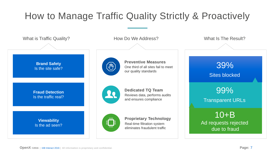## How to Manage Traffic Quality Strictly & Proactively

How Do We Address? What Is The Result?

Preventive Measures<br>
One third of all sites fail to meet **39%** our quality standards



Reviews data, performs audits and ensures compliance

### **Dedicated TQ Team**

Real-time filtration system eliminates fraudulent traffic

### **Proprietary Technology**

Sites blocked

10+B Ad requests rejected due to fraud



99% Transparent URLs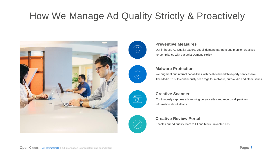

We augment our internal capabilities with best-of-breed third-party services like The Media Trust to continuously scan tags for malware, auto-audio and other issues.



### **Malware Protection**

Continuously captures ads running on your sites and records all pertinent information about all ads.



### **Creative Scanner**

Enables our ad quality team to ID and block unwanted ads.

### **Creative Review Portal**

Our in-house Ad Quality experts vet all demand partners and monitor creatives for compliance with our strict [Demand Policy.](http://openx.com/legal/ad-exchange-demand-policies/)



### **Preventive Measures**

## How We Manage Ad Quality Strictly & Proactively

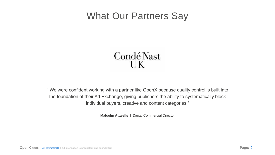

# Condé Nast



" We were confident working with a partner like OpenX because quality control is built into the foundation of their Ad Exchange, giving publishers the ability to systematically block individual buyers, creative and content categories."

**Malcolm Attwells** | Digital Commercial Director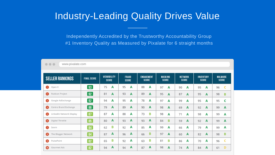| <b>SELLER RANKINGS</b>                          | <b>FINAL SCORE</b>                         | <b>VIEWABILITY</b><br><b>SCORE</b> | <b>FRAUD</b><br><b>SCORE</b> | <b>ENGAGEMENT</b><br><b>SCORE</b> | <b>MASKING</b><br><b>SCORE</b> | <b>NETWORK</b><br><b>SCORE</b> | <b>INVENTORY</b><br><b>SCORE</b> | <b>MALWARE</b><br><b>SCORE</b> |
|-------------------------------------------------|--------------------------------------------|------------------------------------|------------------------------|-----------------------------------|--------------------------------|--------------------------------|----------------------------------|--------------------------------|
| Open X                                          | $\boxed{93}$                               | 75                                 | 95                           | 88                                | 97                             | 90                             | 95                               | 96                             |
| $\bullet$                                       |                                            | A                                  | A                            | $\mathbf{A}$                      | A                              | A                              | A                                | $\mathsf{C}$                   |
| <b>Rubicon Project</b>                          | 92                                         | 81                                 | 93                           | 89                                | 95                             | 87                             | 95                               | 98                             |
| $\bullet$                                       |                                            | A                                  | A                            | A                                 | $\mathbf{A}$                   | A                              | $\mathbf{A}$                     | $\mathbf{B}$                   |
| <b>Google AdExchange</b>                        | $\boxed{92}$                               | 94                                 | 95                           | 78                                | 97                             | 99                             | 95                               | 95                             |
| $\bullet$                                       |                                            | A                                  | A                            | A                                 | A                              | A                              | A                                | $\mathbf C$                    |
| <b>Centro Brand Exchange</b>                    | $\boxed{88}$                               | 79                                 | A                            | 90                                | 98                             | 69                             | 92                               | 99                             |
| $\left( \begin{array}{c} 4 \end{array} \right)$ |                                            | A                                  | 89                           | A                                 | A                              | A                              | <b>A</b>                         | A                              |
| <b>LinkedIn Network Display</b>                 | $\boxed{87}$                               | 87                                 | 88                           | 73                                | 98                             | 71                             | 98                               | 99                             |
| 6                                               |                                            | A                                  | $\mathbf A$                  | B                                 | A                              | A                              | A                                | A                              |
| <b>Digital Throttle</b>                         | $^{85}$                                    | $\mathbf{A}$                       | A                            | A                                 | 84                             | 59                             | 92                               | 99                             |
| 6                                               |                                            | 80                                 | 93                           | 93                                | B                              | A                              | <b>A</b>                         | A                              |
| $\bullet$                                       | $^{84}$                                    | B                                  | $\mathbf{A}$                 | A                                 | 99                             | A                              | A                                | A                              |
| Sovrn                                           |                                            | 62                                 | 92                           | 85                                | A                              | 66                             | 79                               | 99                             |
| <b>The Blogger Network</b>                      | 84                                         | A                                  | A                            | B                                 | 97                             | 60                             | 82                               | B                              |
| $\bullet$                                       | <b>Contract Contract Contract Contract</b> | 87                                 | 96                           | 66                                | A                              | A                              | A                                | 98                             |
| PulsePoint                                      | 82                                         | B                                  | A                            | B                                 | 81                             | 86                             | 70                               | $\mathbf{C}$                   |
| $\bullet$                                       |                                            | 65                                 | 92                           | 63                                | B                              | A                              | A                                | 96                             |
| <b>Gourmet Ads</b>                              | $\boxed{82}$                               | A                                  | A                            | A                                 | 98                             | 74                             | 84                               | D                              |
| $\bullet$                                       |                                            | 94                                 | 94                           | 87                                | A                              | A                              | A                                | 61                             |

## Industry-Leading Quality Drives Value

www.pixalate.com

 $\bullet\bullet\bullet$ 

Independently Accredited by the Trustworthy Accountability Group #1 Inventory Quality as Measured by Pixalate for 6 straight months